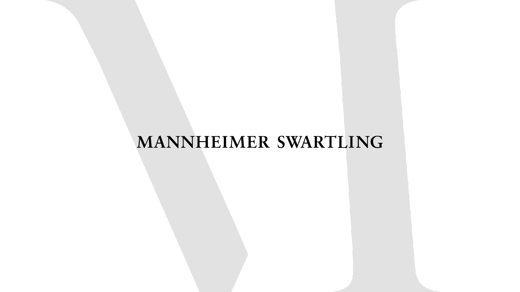#### MANNHEIMER SWARTLING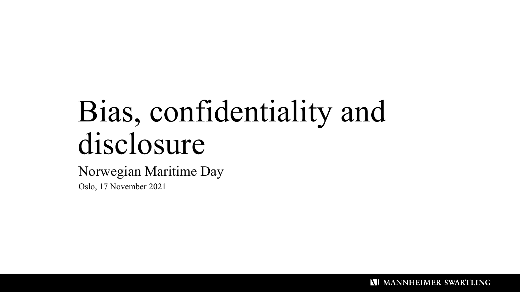# Bias, confidentiality and disclosure

#### Norwegian Maritime Day

Oslo, 17 November 2021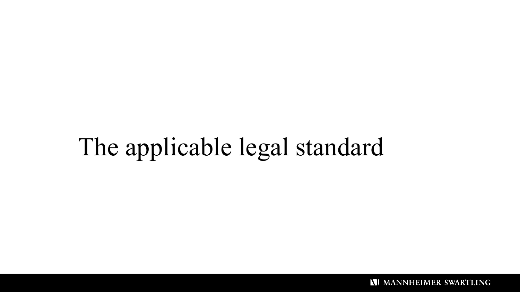# The applicable legal standard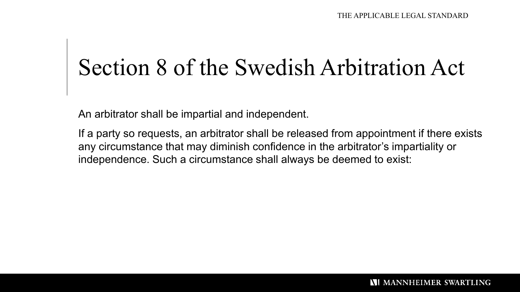### Section 8 of the Swedish Arbitration Act

An arbitrator shall be impartial and independent.

If a party so requests, an arbitrator shall be released from appointment if there exists any circumstance that may diminish confidence in the arbitrator's impartiality or independence. Such a circumstance shall always be deemed to exist: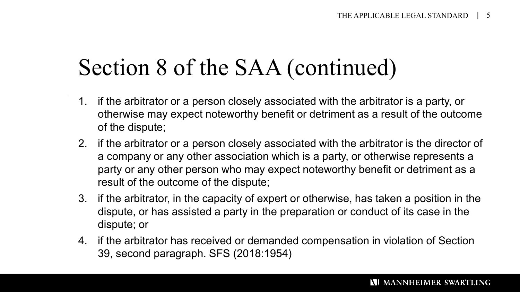#### Section 8 of the SAA (continued)

- 1. if the arbitrator or a person closely associated with the arbitrator is a party, or otherwise may expect noteworthy benefit or detriment as a result of the outcome of the dispute;
- 2. if the arbitrator or a person closely associated with the arbitrator is the director of a company or any other association which is a party, or otherwise represents a party or any other person who may expect noteworthy benefit or detriment as a result of the outcome of the dispute;
- 3. if the arbitrator, in the capacity of expert or otherwise, has taken a position in the dispute, or has assisted a party in the preparation or conduct of its case in the dispute; or
- 4. if the arbitrator has received or demanded compensation in violation of Section 39, second paragraph. SFS (2018:1954)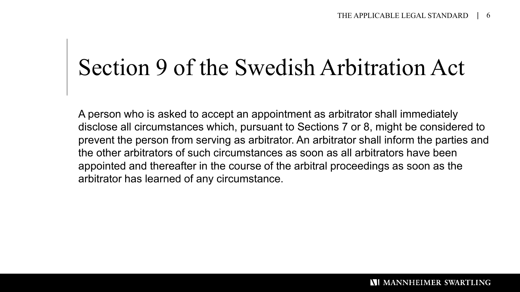### Section 9 of the Swedish Arbitration Act

A person who is asked to accept an appointment as arbitrator shall immediately disclose all circumstances which, pursuant to Sections 7 or 8, might be considered to prevent the person from serving as arbitrator. An arbitrator shall inform the parties and the other arbitrators of such circumstances as soon as all arbitrators have been appointed and thereafter in the course of the arbitral proceedings as soon as the arbitrator has learned of any circumstance.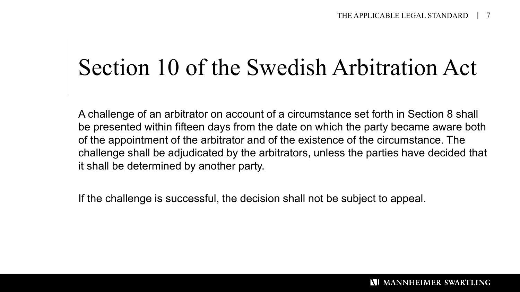### Section 10 of the Swedish Arbitration Act

A challenge of an arbitrator on account of a circumstance set forth in Section 8 shall be presented within fifteen days from the date on which the party became aware both of the appointment of the arbitrator and of the existence of the circumstance. The challenge shall be adjudicated by the arbitrators, unless the parties have decided that it shall be determined by another party.

If the challenge is successful, the decision shall not be subject to appeal.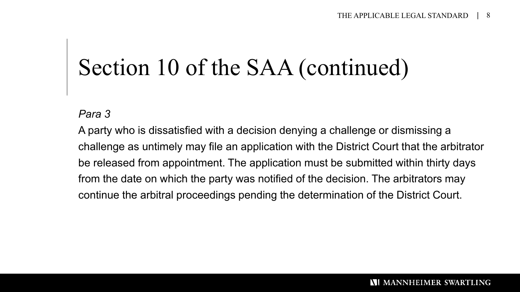### Section 10 of the SAA (continued)

#### *Para 3*

A party who is dissatisfied with a decision denying a challenge or dismissing a challenge as untimely may file an application with the District Court that the arbitrator be released from appointment. The application must be submitted within thirty days from the date on which the party was notified of the decision. The arbitrators may continue the arbitral proceedings pending the determination of the District Court.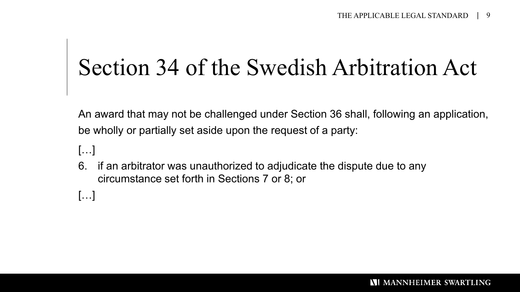### Section 34 of the Swedish Arbitration Act

An award that may not be challenged under Section 36 shall, following an application, be wholly or partially set aside upon the request of a party:

- […]
- 6. if an arbitrator was unauthorized to adjudicate the dispute due to any circumstance set forth in Sections 7 or 8; or
- […]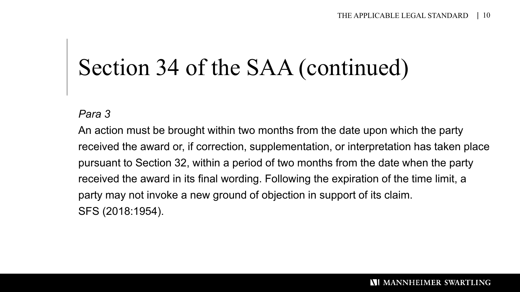### Section 34 of the SAA (continued)

*Para 3*

An action must be brought within two months from the date upon which the party received the award or, if correction, supplementation, or interpretation has taken place pursuant to Section 32, within a period of two months from the date when the party received the award in its final wording. Following the expiration of the time limit, a party may not invoke a new ground of objection in support of its claim. SFS (2018:1954).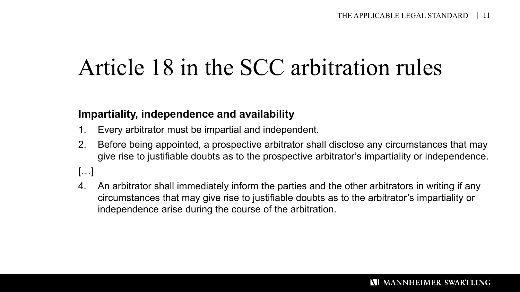## Article 18 in the SCC arbitration rules

#### **Impartiality, independence and availability**

- 1. Every arbitrator must be impartial and independent.
- 2. Before being appointed, a prospective arbitrator shall disclose any circumstances that may give rise to justifiable doubts as to the prospective arbitrator's impartiality or independence.

[…]

4. An arbitrator shall immediately inform the parties and the other arbitrators in writing if any circumstances that may give rise to justifiable doubts as to the arbitrator's impartiality or independence arise during the course of the arbitration.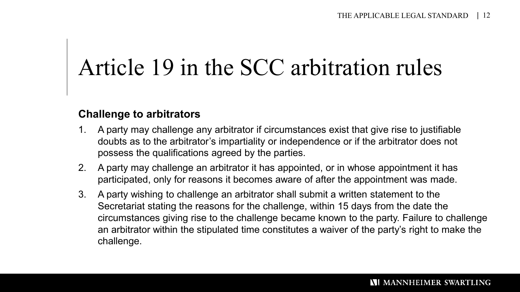## Article 19 in the SCC arbitration rules

#### **Challenge to arbitrators**

- 1. A party may challenge any arbitrator if circumstances exist that give rise to justifiable doubts as to the arbitrator's impartiality or independence or if the arbitrator does not possess the qualifications agreed by the parties.
- 2. A party may challenge an arbitrator it has appointed, or in whose appointment it has participated, only for reasons it becomes aware of after the appointment was made.
- 3. A party wishing to challenge an arbitrator shall submit a written statement to the Secretariat stating the reasons for the challenge, within 15 days from the date the circumstances giving rise to the challenge became known to the party. Failure to challenge an arbitrator within the stipulated time constitutes a waiver of the party's right to make the challenge.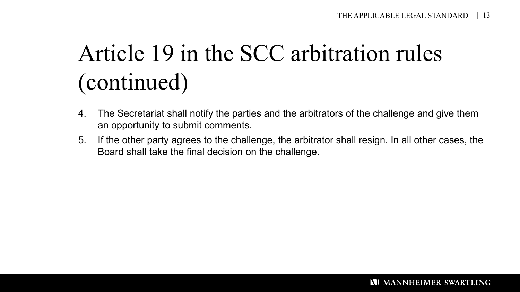### Article 19 in the SCC arbitration rules (continued)

- 4. The Secretariat shall notify the parties and the arbitrators of the challenge and give them an opportunity to submit comments.
- 5. If the other party agrees to the challenge, the arbitrator shall resign. In all other cases, the Board shall take the final decision on the challenge.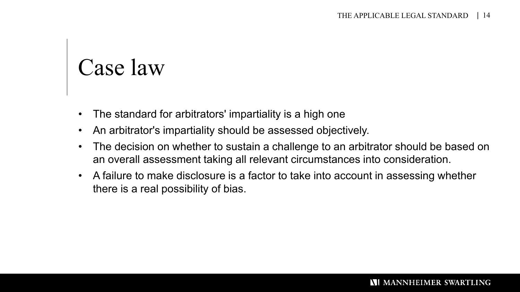# Case law

- The standard for arbitrators' impartiality is a high one
- An arbitrator's impartiality should be assessed objectively.
- The decision on whether to sustain a challenge to an arbitrator should be based on an overall assessment taking all relevant circumstances into consideration.
- A failure to make disclosure is a factor to take into account in assessing whether there is a real possibility of bias.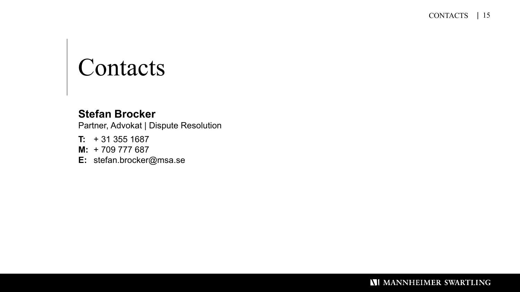# Contacts

#### **Stefan Brocker**

Partner, Advokat | Dispute Resolution

- **T:** + 31 355 1687
- **M:** + 709 777 687
- **E:** stefan.brocker@msa.se